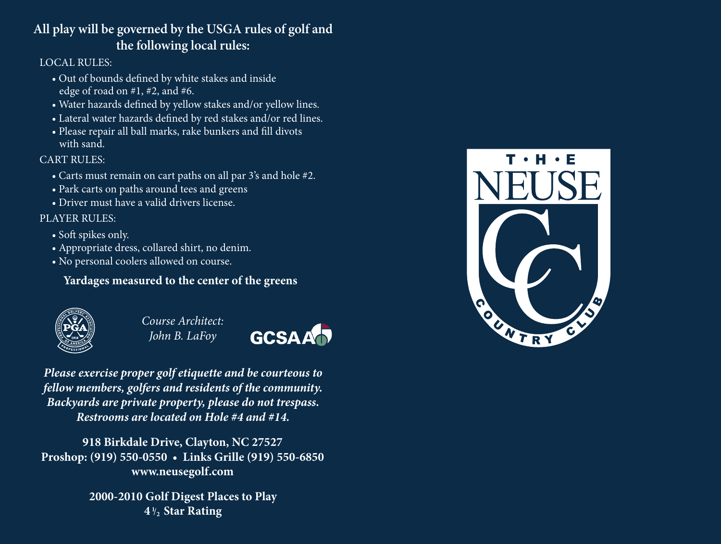# **All play will be governed by the USGA rules of golf and the following local rules:**

#### LOCAL RULES:

- Out of bounds defined by white stakes and inside edge of road on #1, #2, and #6.
- Water hazards defined by yellow stakes and/or yellow lines.
- Lateral water hazards defined by red stakes and/or red lines.
- Please repair all ball marks, rake bunkers and fill divots with sand.

#### CART RULES:

- Carts must remain on cart paths on all par 3's and hole #2.
- Park carts on paths around tees and greens
- Driver must have a valid drivers license.

### PLAYER RULES:

- Soft spikes only.
- Appropriate dress, collared shirt, no denim.
- No personal coolers allowed on course.

## **Yardages measured to the center of the greens**



*Course Architect: John B. LaFoy*



*Please exercise proper golf etiquette and be courteous to fellow members, golfers and residents of the community. Backyards are private property, please do not trespass. Restrooms are located on Hole #4 and #14.*

**918 Birkdale Drive, Clayton, NC 27527 Proshop: (919) 550-0550 • Links Grille (919) 550-6850 www.neusegolf.com**

> **2000-2010 Golf Digest Places to Play**  $4\frac{1}{2}$  Star Rating